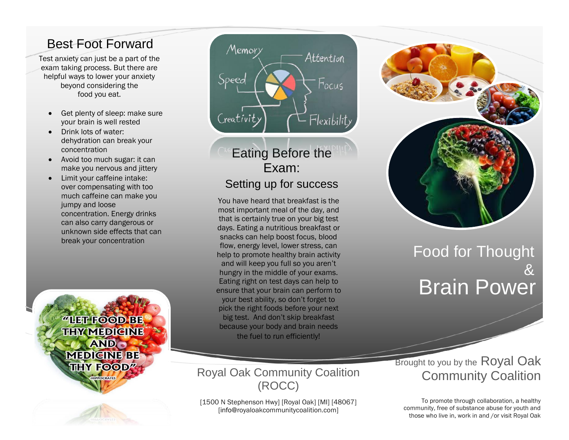# Best Foot Forward

Test anxiety can just be a part of the exam taking process. But there are helpful ways to lower your anxiety beyond considering the food you eat.

- Get plenty of sleep: make sure your brain is well rested
- Drink lots of water: dehydration can break your concentration
- Avoid too much sugar: it can make you nervous and jittery
- Limit your caffeine intake: over compensating with too much caffeine can make you jumpy and loose concentration. Energy drinks can also carry dangerous or unknown side effects that can break your concentration



# Memory Attention Speed Focus Flexibility Creativit

# Eating Before the Exam: Setting up for success

You have heard that breakfast is the most important meal of the day, and that is certainly true on your big test days. Eating a nutritious breakfast or snacks can help boost focus, blood flow, energy level, lower stress, can help to promote healthy brain activity and will keep you full so you aren't hungry in the middle of your exams. Eating right on test days can help to ensure that your brain can perform to your best ability, so don't forget to pick the right foods before your next big test. And don't skip breakfast because your body and brain needs the fuel to run efficiently!

### Royal Oak Community Coalition (ROCC)

[1500 N Stephenson Hwy] [Royal Oak] [MI] [48067] [info@royaloakcommunitycoalition.com]



# Food for Thought & Brain Power

**Brought to you by the Royal Oak** Community Coalition

To promote through collaboration, a healthy community, free of substance abuse for youth and those who live in, work in and /or visit Royal Oak